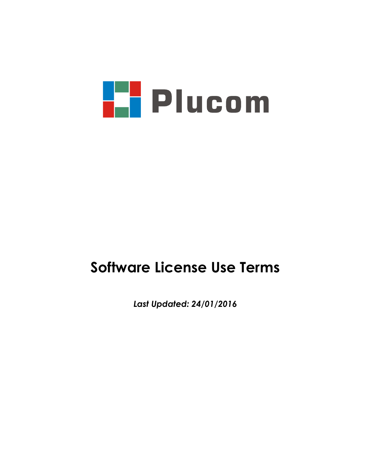

# **Software License Use Terms**

*Last Updated: 24/01/2016*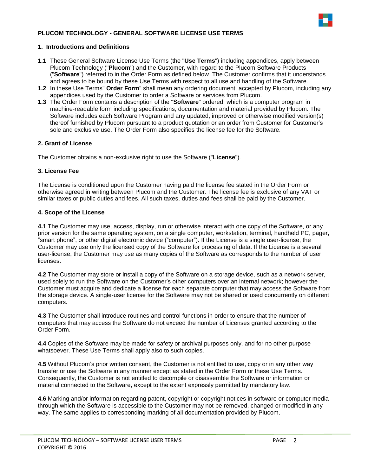# **PLUCOM TECHNOLOGY - GENERAL SOFTWARE LICENSE USE TERMS**



## **1. Introductions and Definitions**

- **1.1** These General Software License Use Terms (the "**Use Terms**") including appendices, apply between Plucom Technology ("**Plucom**") and the Customer, with regard to the Plucom Software Products ("**Software**") referred to in the Order Form as defined below. The Customer confirms that it understands and agrees to be bound by these Use Terms with respect to all use and handling of the Software.
- **1.2** In these Use Terms" **Order Form**" shall mean any ordering document, accepted by Plucom, including any appendices used by the Customer to order a Software or services from Plucom.
- **1.3** The Order Form contains a description of the "**Software**" ordered, which is a computer program in machine-readable form including specifications, documentation and material provided by Plucom. The Software includes each Software Program and any updated, improved or otherwise modified version(s) thereof furnished by Plucom pursuant to a product quotation or an order from Customer for Customer's sole and exclusive use. The Order Form also specifies the license fee for the Software.

## **2. Grant of License**

The Customer obtains a non-exclusive right to use the Software ("**License**").

## **3. License Fee**

The License is conditioned upon the Customer having paid the license fee stated in the Order Form or otherwise agreed in writing between Plucom and the Customer. The license fee is exclusive of any VAT or similar taxes or public duties and fees. All such taxes, duties and fees shall be paid by the Customer.

## **4. Scope of the License**

**4.1** The Customer may use, access, display, run or otherwise interact with one copy of the Software, or any prior version for the same operating system, on a single computer, workstation, terminal, handheld PC, pager, "smart phone", or other digital electronic device ("computer"). If the License is a single user-license, the Customer may use only the licensed copy of the Software for processing of data. If the License is a several user-license, the Customer may use as many copies of the Software as corresponds to the number of user licenses.

**4.2** The Customer may store or install a copy of the Software on a storage device, such as a network server, used solely to run the Software on the Customer's other computers over an internal network; however the Customer must acquire and dedicate a license for each separate computer that may access the Software from the storage device. A single-user license for the Software may not be shared or used concurrently on different computers.

**4.3** The Customer shall introduce routines and control functions in order to ensure that the number of computers that may access the Software do not exceed the number of Licenses granted according to the Order Form.

**4.4** Copies of the Software may be made for safety or archival purposes only, and for no other purpose whatsoever. These Use Terms shall apply also to such copies.

**4.5** Without Plucom's prior written consent, the Customer is not entitled to use, copy or in any other way transfer or use the Software in any manner except as stated in the Order Form or these Use Terms. Consequently, the Customer is not entitled to decompile or disassemble the Software or information or material connected to the Software, except to the extent expressly permitted by mandatory law.

**4.6** Marking and/or information regarding patent, copyright or copyright notices in software or computer media through which the Software is accessible to the Customer may not be removed, changed or modified in any way. The same applies to corresponding marking of all documentation provided by Plucom.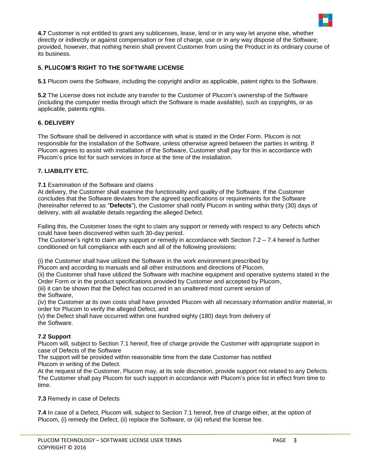

**4.7** Customer is not entitled to grant any sublicenses, lease, lend or in any way let anyone else, whether directly or indirectly or against compensation or free of charge, use or in any way dispose of the Software; provided, however, that nothing herein shall prevent Customer from using the Product in its ordinary course of its business.

# **5. PLUCOM'S RIGHT TO THE SOFTWARE LICENSE**

**5.1** Plucom owns the Software, including the copyright and/or as applicable, patent rights to the Software.

**5.2** The License does not include any transfer to the Customer of Plucom's ownership of the Software (including the computer media through which the Software is made available), such as copyrights, or as applicable, patents rights.

# **6. DELIVERY**

The Software shall be delivered in accordance with what is stated in the Order Form. Plucom is not responsible for the installation of the Software, unless otherwise agreed between the parties in writing. If Plucom agrees to assist with installation of the Software, Customer shall pay for this in accordance with Plucom's price list for such services in force at the time of the installation.

## **7. LIABILITY ETC.**

**7.1** Examination of the Software and claims

At delivery, the Customer shall examine the functionality and quality of the Software. If the Customer concludes that the Software deviates from the agreed specifications or requirements for the Software (hereinafter referred to as "**Defects**"), the Customer shall notify Plucom in writing within thirty (30) days of delivery, with all available details regarding the alleged Defect.

Failing this, the Customer loses the right to claim any support or remedy with respect to any Defects which could have been discovered within such 30-day period.

The Customer's right to claim any support or remedy in accordance with Section 7.2 – 7.4 hereof is further conditioned on full compliance with each and all of the following provisions:

(i) the Customer shall have utilized the Software in the work environment prescribed by

Plucom and according to manuals and all other instructions and directions of Plucom,

(ii) the Customer shall have utilized the Software with machine equipment and operative systems stated in the Order Form or in the product specifications provided by Customer and accepted by Plucom,

(iii) it can be shown that the Defect has occurred in an unaltered most current version of the Software,

(iv) the Customer at its own costs shall have provided Plucom with all necessary information and/or material, in order for Plucom to verify the alleged Defect, and

(v) the Defect shall have occurred within one hundred eighty (180) days from delivery of the Software.

## **7.2 Support**

Plucom will, subject to Section 7.1 hereof, free of charge provide the Customer with appropriate support in case of Defects of the Software

The support will be provided within reasonable time from the date Customer has notified Plucom in writing of the Defect.

At the request of the Customer, Plucom may, at its sole discretion, provide support not related to any Defects. The Customer shall pay Plucom for such support in accordance with Plucom's price list in effect from time to time.

## **7.3** Remedy in case of Defects

**7.4** In case of a Defect, Plucom will, subject to Section 7.1 hereof, free of charge either, at the option of Plucom, (i) remedy the Defect, (ii) replace the Software, or (iii) refund the license fee.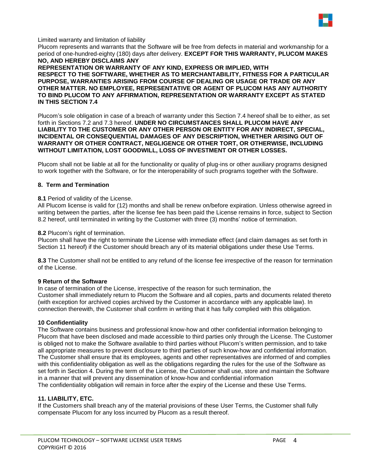

## Limited warranty and limitation of liability

Plucom represents and warrants that the Software will be free from defects in material and workmanship for a period of one-hundred-eighty (180) days after delivery. **EXCEPT FOR THIS WARRANTY, PLUCOM MAKES NO, AND HEREBY DISCLAIMS ANY**

**REPRESENTATION OR WARRANTY OF ANY KIND, EXPRESS OR IMPLIED, WITH RESPECT TO THE SOFTWARE, WHETHER AS TO MERCHANTABILITY, FITNESS FOR A PARTICULAR PURPOSE, WARRANTIES ARISING FROM COURSE OF DEALING OR USAGE OR TRADE OR ANY OTHER MATTER. NO EMPLOYEE, REPRESENTATIVE OR AGENT OF PLUCOM HAS ANY AUTHORITY TO BIND PLUCOM TO ANY AFFIRMATION, REPRESENTATION OR WARRANTY EXCEPT AS STATED IN THIS SECTION 7.4**

Plucom's sole obligation in case of a breach of warranty under this Section 7.4 hereof shall be to either, as set forth in Sections 7.2 and 7.3 hereof. **UNDER NO CIRCUMSTANCES SHALL PLUCOM HAVE ANY LIABILITY TO THE CUSTOMER OR ANY OTHER PERSON OR ENTITY FOR ANY INDIRECT, SPECIAL, INCIDENTAL OR CONSEQUENTIAL DAMAGES OF ANY DESCRIPTION, WHETHER ARISING OUT OF WARRANTY OR OTHER CONTRACT, NEGLIGENCE OR OTHER TORT, OR OTHERWISE, INCLUDING WITHOUT LIMITATION, LOST GOODWILL, LOSS OF INVESTMENT OR OTHER LOSSES.**

Plucom shall not be liable at all for the functionality or quality of plug-ins or other auxiliary programs designed to work together with the Software, or for the interoperability of such programs together with the Software.

#### **8. Term and Termination**

#### **8.1** Period of validity of the License.

All Plucom license is valid for (12) months and shall be renew on/before expiration. Unless otherwise agreed in writing between the parties, after the license fee has been paid the License remains in force, subject to Section 8.2 hereof, until terminated in writing by the Customer with three (3) months' notice of termination.

#### **8.2** Plucom's right of termination.

Plucom shall have the right to terminate the License with immediate effect (and claim damages as set forth in Section 11 hereof) if the Customer should breach any of its material obligations under these Use Terms.

**8.3** The Customer shall not be entitled to any refund of the license fee irrespective of the reason for termination of the License.

## **9 Return of the Software**

In case of termination of the License, irrespective of the reason for such termination, the Customer shall immediately return to Plucom the Software and all copies, parts and documents related thereto (with exception for archived copies archived by the Customer in accordance with any applicable law). In connection therewith, the Customer shall confirm in writing that it has fully complied with this obligation.

## **10 Confidentiality**

The Software contains business and professional know-how and other confidential information belonging to Plucom that have been disclosed and made accessible to third parties only through the License. The Customer is obliged not to make the Software available to third parties without Plucom's written permission, and to take all appropriate measures to prevent disclosure to third parties of such know-how and confidential information. The Customer shall ensure that its employees, agents and other representatives are informed of and complies with this confidentiality obligation as well as the obligations regarding the rules for the use of the Software as set forth in Section 4. During the term of the License, the Customer shall use, store and maintain the Software in a manner that will prevent any dissemination of know-how and confidential information The confidentiality obligation will remain in force after the expiry of the License and these Use Terms.

## **11. LIABILITY, ETC.**

If the Customers shall breach any of the material provisions of these User Terms, the Customer shall fully compensate Plucom for any loss incurred by Plucom as a result thereof.